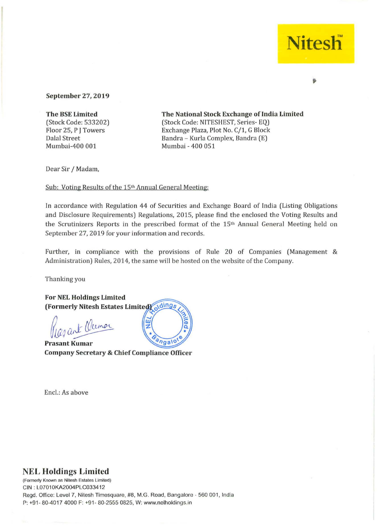## **Nitesh**

## **September** 27, **2019**

**The BSE Limited**  (Stock Code: 533202) Floor 25, P J Towers Dalal Street Mumbai-400 001

**The National** Stock **Exchange oflndia Limited**  (Stock Code: NITESHEST, Series- EQ) Exchange Plaza, Plot No. C/1, G Block Bandra - Kurla Complex, Bandra (E) Mumbai - 400 051

Dear Sir / Madam,

Sub: Voting Results of the 15<sup>th</sup> Annual General Meeting:

In accordance with Regulation 44 of Securities and Exchange Board of India (Listing Obligations and Disclosure Requirements) Regulations, 2015, please find the enclosed the Voting Results and the Scrutinizers Reports in the prescribed format of the 15<sup>th</sup> Annual General Meeting held on September 27, 2019 for your information and records.

Further, in compliance with the provisions of Rule 20 of Companies (Management  $\&$ Administration) Rules, 2014, the same will be hosted on the website of the Company.

Thanking you

For **NEL Holdings Limited**  oldings (Formerly Nitesh Estates Limited)

Ozant Clemar

angalo **Prasant Kumar Company Secretary & Chief Compliance Officer** 

ш

Encl.: As above

## **NEL Holdings Limited**

**(FOfmerly Known as Nilesh Estates Limited)**  CIN : L07010KA2004PLC033412 Regd. Office: Level 7. Nitesh Timesquare, #8, M.G. Road, Bangalore - 560 001, India P: +91- 80-4017 4000 F: +91- 80-2555 0825, W: www.nelholdings.in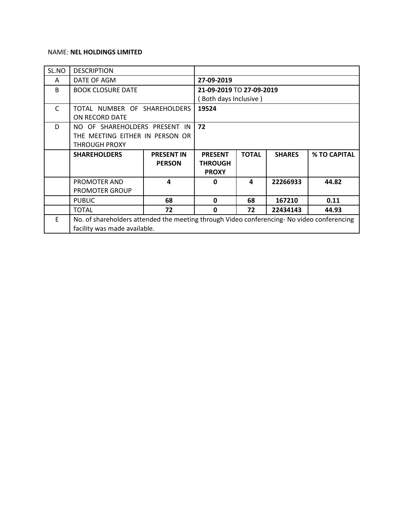## NAME: **NEL HOLDINGS LIMITED**

| SL.NO        | <b>DESCRIPTION</b>                                                                         |                          |                |              |               |              |  |  |
|--------------|--------------------------------------------------------------------------------------------|--------------------------|----------------|--------------|---------------|--------------|--|--|
| A            | DATE OF AGM                                                                                | 27-09-2019               |                |              |               |              |  |  |
| <sub>B</sub> | <b>BOOK CLOSURE DATE</b>                                                                   | 21-09-2019 TO 27-09-2019 |                |              |               |              |  |  |
|              |                                                                                            | Both days Inclusive)     |                |              |               |              |  |  |
| $\mathsf{C}$ | TOTAL NUMBER OF SHAREHOLDERS                                                               | 19524                    |                |              |               |              |  |  |
|              | ON RECORD DATE                                                                             |                          |                |              |               |              |  |  |
| D.           | NO OF SHAREHOLDERS PRESENT IN                                                              | 72                       |                |              |               |              |  |  |
|              | THE MEETING EITHER IN PERSON OR                                                            |                          |                |              |               |              |  |  |
|              | <b>THROUGH PROXY</b>                                                                       |                          |                |              |               |              |  |  |
|              | <b>SHAREHOLDERS</b>                                                                        | <b>PRESENT IN</b>        | <b>PRESENT</b> | <b>TOTAL</b> | <b>SHARES</b> | % TO CAPITAL |  |  |
|              |                                                                                            | <b>PERSON</b>            | <b>THROUGH</b> |              |               |              |  |  |
|              |                                                                                            |                          | <b>PROXY</b>   |              |               |              |  |  |
|              | PROMOTER AND                                                                               | 4                        | 0              | 4            | 22266933      | 44.82        |  |  |
|              | PROMOTER GROUP                                                                             |                          |                |              |               |              |  |  |
|              | <b>PUBLIC</b>                                                                              | 68                       | $\mathbf 0$    | 68           | 167210        | 0.11         |  |  |
|              | <b>TOTAL</b>                                                                               | 72                       | $\mathbf{0}$   | 72           | 22434143      | 44.93        |  |  |
| E            | No. of shareholders attended the meeting through Video conferencing- No video conferencing |                          |                |              |               |              |  |  |
|              | facility was made available.                                                               |                          |                |              |               |              |  |  |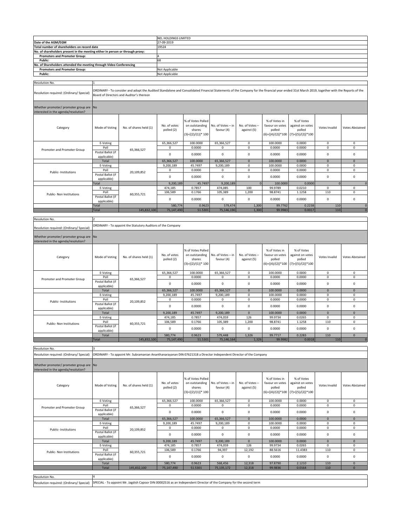|                                                                                 |                                                                                                                                                                                                                                         | NEL HOLDINGS LIMITED                                                                                               |                            |                                                                        |                                 |                               |                                                                   |                                                                                     |                   |                          |  |
|---------------------------------------------------------------------------------|-----------------------------------------------------------------------------------------------------------------------------------------------------------------------------------------------------------------------------------------|--------------------------------------------------------------------------------------------------------------------|----------------------------|------------------------------------------------------------------------|---------------------------------|-------------------------------|-------------------------------------------------------------------|-------------------------------------------------------------------------------------|-------------------|--------------------------|--|
| Date of the AGM/EGM                                                             |                                                                                                                                                                                                                                         |                                                                                                                    | 27-09-2019                 |                                                                        |                                 |                               |                                                                   |                                                                                     |                   |                          |  |
| Total number of shareholders on record date                                     |                                                                                                                                                                                                                                         |                                                                                                                    | 19524                      |                                                                        |                                 |                               |                                                                   |                                                                                     |                   |                          |  |
| No. of shareholders present in the meeting either in person or through proxy:   |                                                                                                                                                                                                                                         |                                                                                                                    |                            |                                                                        |                                 |                               |                                                                   |                                                                                     |                   |                          |  |
| <b>Promoters and Promoter Group:</b><br>Public:                                 |                                                                                                                                                                                                                                         |                                                                                                                    | 68                         |                                                                        |                                 |                               |                                                                   |                                                                                     |                   |                          |  |
| No. of Shareholders attended the meeting through Video Conferencing             |                                                                                                                                                                                                                                         |                                                                                                                    |                            |                                                                        |                                 |                               |                                                                   |                                                                                     |                   |                          |  |
| <b>Promoters and Promoter Group:</b>                                            |                                                                                                                                                                                                                                         |                                                                                                                    | Not Applicable             |                                                                        |                                 |                               |                                                                   |                                                                                     |                   |                          |  |
| Public:                                                                         |                                                                                                                                                                                                                                         |                                                                                                                    | Not Applicable             |                                                                        |                                 |                               |                                                                   |                                                                                     |                   |                          |  |
| Resolution No.                                                                  |                                                                                                                                                                                                                                         |                                                                                                                    |                            |                                                                        |                                 |                               |                                                                   |                                                                                     |                   |                          |  |
|                                                                                 |                                                                                                                                                                                                                                         |                                                                                                                    |                            |                                                                        |                                 |                               |                                                                   |                                                                                     |                   |                          |  |
| Resolution required: (Ordinary/ Special)                                        | ORDINARY - To consider and adopt the Audited Standalone and Consolidated Financial Statements of the Company for the financial year ended 31st March 2019, together with the Reports of the<br>Board of Directors and Auditor's thereon |                                                                                                                    |                            |                                                                        |                                 |                               |                                                                   |                                                                                     |                   |                          |  |
| Whether promoter/ promoter group are No                                         |                                                                                                                                                                                                                                         |                                                                                                                    |                            |                                                                        |                                 |                               |                                                                   |                                                                                     |                   |                          |  |
| interested in the agenda/resolution?                                            |                                                                                                                                                                                                                                         |                                                                                                                    |                            |                                                                        |                                 |                               |                                                                   |                                                                                     |                   |                          |  |
|                                                                                 |                                                                                                                                                                                                                                         |                                                                                                                    |                            |                                                                        |                                 |                               |                                                                   |                                                                                     |                   |                          |  |
| Category                                                                        | Mode of Voting                                                                                                                                                                                                                          | No. of shares held (1)                                                                                             | No. of votes<br>polled (2) | % of Votes Polled<br>on outstanding<br>shares<br>$(3)=[(2)/(1)]*100$   | No. of Votes - in<br>favour (4) | No. of Votes -<br>against (5) | % of Votes in<br>favour on votes<br>polled                        | % of Votes<br>against on votes<br>polled<br>$(6)=[(4)/(2)]*100$ $(7)=[(5)/(2)]*100$ | Votes Invalid     | <b>Votes Abstained</b>   |  |
|                                                                                 | E-Voting                                                                                                                                                                                                                                |                                                                                                                    | 65,366,527                 | 100.0000                                                               | 65,366,527                      | 0                             | 100.0000                                                          | 0.0000                                                                              | 0                 | $\pmb{0}$                |  |
| Promoter and Promoter Group                                                     | Poll                                                                                                                                                                                                                                    | 65,366,527                                                                                                         | 0                          | 0.0000                                                                 | 0                               | 0                             | 0.0000                                                            | 0.0000                                                                              | 0                 | 0                        |  |
|                                                                                 | Postal Ballot (if                                                                                                                                                                                                                       |                                                                                                                    | $\pmb{0}$                  | 0.0000                                                                 | 0                               | $\pmb{0}$                     | 0.0000                                                            | 0.0000                                                                              | $\pmb{0}$         | $\pmb{0}$                |  |
|                                                                                 | applicable)<br>Total                                                                                                                                                                                                                    |                                                                                                                    | 65,366,527                 | 100.0000                                                               | 65,366,527                      | $\mathbf 0$                   | 100.0000                                                          | 0.0000                                                                              | $\mathbf 0$       | $\pmb{0}$                |  |
|                                                                                 | E-Voting                                                                                                                                                                                                                                |                                                                                                                    | 9,200,189                  | 45.7497                                                                | 9,200,189                       | 0                             | 100.0000                                                          | 0.0000                                                                              | 0                 | 0                        |  |
| Public- Institutions                                                            | Poll                                                                                                                                                                                                                                    | 20,109,852                                                                                                         | $\mathbf 0$                | 0.0000                                                                 | $\mathbf 0$                     | $\mathsf 0$                   | 0.0000                                                            | 0.0000                                                                              | 0                 | $\pmb{0}$                |  |
|                                                                                 | Postal Ballot (if<br>applicable)                                                                                                                                                                                                        |                                                                                                                    | $\pmb{0}$                  | 0.0000                                                                 | 0                               | $\pmb{0}$                     | 0.0000                                                            | 0.0000                                                                              | $\pmb{0}$         | $\pmb{0}$                |  |
|                                                                                 | Total<br>E-Voting                                                                                                                                                                                                                       |                                                                                                                    | 9,200,189<br>474,185       | 45.7497<br>0.7857                                                      | 9,200,189<br>474,085            | $\Omega$<br>100               | 100.0000<br>99.9789                                               | 0.0000<br>0.0210                                                                    | 0                 | $\sqrt{ }$<br>0          |  |
|                                                                                 | Poll                                                                                                                                                                                                                                    |                                                                                                                    | 106,589                    | 0.1766                                                                 | 105,389                         | 1,200                         | 98.8741                                                           | 1.1258                                                                              | 110               | $\pmb{0}$                |  |
| Public- Non Institutions                                                        | Postal Ballot (if                                                                                                                                                                                                                       | 60,355,721                                                                                                         | $\mathbf 0$                | 0.0000                                                                 | 0                               | $\mathbf 0$                   | 0.0000                                                            | 0.0000                                                                              | $\pmb{0}$         | $\pmb{0}$                |  |
|                                                                                 | applicable)                                                                                                                                                                                                                             |                                                                                                                    |                            |                                                                        |                                 |                               |                                                                   |                                                                                     |                   |                          |  |
|                                                                                 | Total                                                                                                                                                                                                                                   |                                                                                                                    | 580,774                    | 0.9623                                                                 | 579,474                         | 1,300                         | 99.7762                                                           | 0.2238                                                                              | 110               | $\sqrt{ }$               |  |
|                                                                                 | Total                                                                                                                                                                                                                                   | 145,832,100                                                                                                        | 75,147,490                 | 51.5301                                                                | 75,146,19                       | 1,300                         | 99.9983                                                           | 0.0017                                                                              | 110               |                          |  |
| Resolution No.                                                                  |                                                                                                                                                                                                                                         |                                                                                                                    |                            |                                                                        |                                 |                               |                                                                   |                                                                                     |                   |                          |  |
|                                                                                 |                                                                                                                                                                                                                                         | ORDINARY - To appoint the Statutory Auditors of the Company                                                        |                            |                                                                        |                                 |                               |                                                                   |                                                                                     |                   |                          |  |
| Resolution required: (Ordinary/ Special)                                        |                                                                                                                                                                                                                                         |                                                                                                                    |                            |                                                                        |                                 |                               |                                                                   |                                                                                     |                   |                          |  |
|                                                                                 |                                                                                                                                                                                                                                         |                                                                                                                    |                            |                                                                        |                                 |                               |                                                                   |                                                                                     |                   |                          |  |
| Whether promoter/ promoter group are No<br>interested in the agenda/resolution? |                                                                                                                                                                                                                                         |                                                                                                                    |                            |                                                                        |                                 |                               |                                                                   |                                                                                     |                   |                          |  |
|                                                                                 |                                                                                                                                                                                                                                         |                                                                                                                    |                            |                                                                        |                                 |                               |                                                                   |                                                                                     |                   |                          |  |
| Category                                                                        | Mode of Voting                                                                                                                                                                                                                          | No. of shares held (1)                                                                                             | No. of votes<br>polled (2) | % of Votes Polled<br>on outstanding<br>shares<br>$(3)=[(2)/(1)]$ * 100 | No. of Votes - in<br>favour (4) | No. of Votes -<br>against (5) | % of Votes in<br>favour on votes<br>polled<br>$(6)=[(4)/(2)]*100$ | % of Votes<br>against on votes<br>polled<br>$(7)=[(5)/(2)]*100$                     | Votes Invalid     | <b>Votes Abstained</b>   |  |
|                                                                                 | E-Voting                                                                                                                                                                                                                                |                                                                                                                    | 65,366,527                 | 100.0000                                                               | 65,366,527                      | $\mathbf 0$                   | 100.0000                                                          | 0.0000                                                                              | 0                 | $\pmb{0}$                |  |
| Promoter and Promoter Group                                                     | Poll                                                                                                                                                                                                                                    | 65,366,527                                                                                                         | 0                          | 0.0000                                                                 | 0                               | 0                             | 0.0000                                                            | 0.0000                                                                              | 0                 | 0                        |  |
|                                                                                 | Postal Ballot (if                                                                                                                                                                                                                       |                                                                                                                    | $\mathbf 0$                | 0.0000                                                                 | 0                               | $\mathsf 0$                   | 0.0000                                                            | 0.0000                                                                              | 0                 | $\pmb{0}$                |  |
|                                                                                 | applicable)<br>Total                                                                                                                                                                                                                    |                                                                                                                    | 65,366,527                 | 100.0000                                                               | 65,366,527                      | $\mathbf 0$                   | 100.0000                                                          | 0.0000                                                                              | $\mathbf 0$       | $\pmb{0}$                |  |
|                                                                                 | E-Voting                                                                                                                                                                                                                                |                                                                                                                    | 9,200,189                  | 45.7497                                                                | 9,200,189                       | 0                             | 100.0000                                                          | 0.0000                                                                              | 0                 | 0                        |  |
| Public-Institutions                                                             | Poll                                                                                                                                                                                                                                    | 20,109,852                                                                                                         | 0                          | 0.0000                                                                 | 0                               | $\mathsf 0$                   | 0.0000                                                            | 0.0000                                                                              | 0                 | 0                        |  |
|                                                                                 | Postal Ballot (if                                                                                                                                                                                                                       |                                                                                                                    | $\pmb{0}$                  | 0.0000                                                                 | 0                               | $\mathbf 0$                   | 0.0000                                                            | 0.0000                                                                              | 0                 | $\pmb{0}$                |  |
|                                                                                 | applicable)                                                                                                                                                                                                                             |                                                                                                                    |                            |                                                                        |                                 |                               |                                                                   |                                                                                     |                   |                          |  |
|                                                                                 | Total<br>E-Voting                                                                                                                                                                                                                       |                                                                                                                    | 9,200,189<br>474,185       | 45.7497<br>0.7857                                                      | 9,200,189<br>474,059            | $\mathbf 0$<br>126            | 100.0000<br>99.9734                                               | 0.0000<br>0.0265                                                                    | $\mathbf 0$<br>0  | $\mathbf 0$<br>$\pmb{0}$ |  |
|                                                                                 | Poll                                                                                                                                                                                                                                    |                                                                                                                    | 106,589                    | 0.1766                                                                 | 105,389                         | 1,200                         | 98.8741                                                           | 1.1258                                                                              | 110               | $\pmb{0}$                |  |
| Public- Non Institutions                                                        | Postal Ballot (if                                                                                                                                                                                                                       | 60,355,721                                                                                                         |                            |                                                                        |                                 |                               |                                                                   |                                                                                     |                   |                          |  |
|                                                                                 | applicable)                                                                                                                                                                                                                             |                                                                                                                    | $\mathbf 0$                | 0.0000                                                                 | 0                               | $\mathbf 0$                   | 0.0000                                                            | 0.0000                                                                              | 0                 | $\pmb{0}$                |  |
|                                                                                 | Total                                                                                                                                                                                                                                   |                                                                                                                    | 580,774                    | 0.9623                                                                 | 579,448                         | 1,326                         | 99.7717                                                           | 0.2283                                                                              | 110               | $\mathbf{0}$             |  |
|                                                                                 | Total                                                                                                                                                                                                                                   | 145,832,100                                                                                                        | 75,147,490                 | 51.5301                                                                | 75,146,164                      | 1,326                         | 99.9982                                                           | 0.0018                                                                              | 110               |                          |  |
| Resolution No.                                                                  |                                                                                                                                                                                                                                         |                                                                                                                    |                            |                                                                        |                                 |                               |                                                                   |                                                                                     |                   |                          |  |
| Resolution required: (Ordinary/ Special)                                        |                                                                                                                                                                                                                                         | ORDINARY - To appoint Mr. Subramanian Ananthanarayanan DIN 07621318 a Director Independent Director of the Company |                            |                                                                        |                                 |                               |                                                                   |                                                                                     |                   |                          |  |
|                                                                                 |                                                                                                                                                                                                                                         |                                                                                                                    |                            |                                                                        |                                 |                               |                                                                   |                                                                                     |                   |                          |  |
| Whether promoter/ promoter group are No                                         |                                                                                                                                                                                                                                         |                                                                                                                    |                            |                                                                        |                                 |                               |                                                                   |                                                                                     |                   |                          |  |
| interested in the agenda/resolution?                                            |                                                                                                                                                                                                                                         |                                                                                                                    |                            |                                                                        |                                 |                               |                                                                   |                                                                                     |                   |                          |  |
| Category                                                                        | Mode of Voting                                                                                                                                                                                                                          | No. of shares held (1)                                                                                             | No. of votes               | % of Votes Polled<br>on outstanding                                    | No. of Votes - in               | No. of Votes -                | % of Votes in<br>favour on votes                                  | % of Votes<br>against on votes                                                      | Votes Invalid     | <b>Votes Abstained</b>   |  |
|                                                                                 |                                                                                                                                                                                                                                         |                                                                                                                    | polled (2)                 | shares                                                                 | favour (4)                      | against (5)                   | polled                                                            | polled                                                                              |                   |                          |  |
|                                                                                 |                                                                                                                                                                                                                                         |                                                                                                                    |                            | $(3)=[(2)/(1)]$ * 100                                                  |                                 |                               | $(6)=[(4)/(2)]*100$                                               | $(7)=[(5)/(2)]*100$                                                                 |                   |                          |  |
|                                                                                 | E-Voting                                                                                                                                                                                                                                |                                                                                                                    | 65,366,527                 | 100.0000                                                               | 65,366,527                      | $\mathbf 0$                   | 100.0000                                                          | 0.0000                                                                              | $\mathbf 0$       | 0                        |  |
|                                                                                 | Poll                                                                                                                                                                                                                                    |                                                                                                                    | $\mathbf 0$                | 0.0000                                                                 | 0                               | $\pmb{0}$                     | 0.0000                                                            | 0.0000                                                                              | 0                 | $\pmb{0}$                |  |
| Promoter and Promoter Group                                                     | Postal Ballot (if                                                                                                                                                                                                                       | 65,366,527                                                                                                         | 0                          | 0.0000                                                                 | $\mathbf 0$                     | $\mathsf 0$                   | 0.0000                                                            | 0.0000                                                                              | $\pmb{0}$         | $\pmb{0}$                |  |
|                                                                                 | applicable)                                                                                                                                                                                                                             |                                                                                                                    |                            |                                                                        |                                 |                               |                                                                   |                                                                                     |                   |                          |  |
|                                                                                 | Total<br>E-Voting                                                                                                                                                                                                                       |                                                                                                                    | 65,366,527<br>9,200,189    | 100.0000<br>45.7497                                                    | 65,366,527<br>9,200,189         | $\mathbf{0}$<br>0             | 100.0000<br>100.0000                                              | 0.0000<br>0.0000                                                                    | $\mathbf{0}$<br>0 | $\mathbf{0}$<br>0        |  |
|                                                                                 | Poll                                                                                                                                                                                                                                    |                                                                                                                    | 0                          | 0.0000                                                                 | 0                               | 0                             | 0.0000                                                            | 0.0000                                                                              | 0                 | 0                        |  |
| Public- Institutions                                                            | Postal Ballot (if                                                                                                                                                                                                                       | 20,109,852                                                                                                         |                            |                                                                        |                                 |                               |                                                                   |                                                                                     |                   |                          |  |
|                                                                                 | applicable)                                                                                                                                                                                                                             |                                                                                                                    | $\mathsf 0$                | 0.0000                                                                 | $\mathbf 0$                     | $\mathbf 0$                   | 0.0000                                                            | 0.0000                                                                              | $\mathbf 0$       | 0                        |  |
|                                                                                 | Total                                                                                                                                                                                                                                   |                                                                                                                    | 9,200,189                  | 45.7497                                                                | 9,200,189                       | $\mathbf 0$                   | 100.0000                                                          | 0.0000                                                                              | $\mathbf{0}$      | $\mathbf{0}$             |  |
|                                                                                 | E-Voting                                                                                                                                                                                                                                |                                                                                                                    | 474,185                    | 0.7857                                                                 | 474,059                         | 126                           | 99.9734                                                           | 0.0265                                                                              | 0                 | 0                        |  |
| Public- Non Institutions                                                        | Poll<br>Postal Ballot (if                                                                                                                                                                                                               | 60,355,721                                                                                                         | 106,589                    | 0.1766                                                                 | 94,397                          | 12,192                        | 88.5616                                                           | 11.4383                                                                             | 110               | $\pmb{0}$                |  |
|                                                                                 | applicable)                                                                                                                                                                                                                             |                                                                                                                    | $\pmb{0}$                  | 0.0000                                                                 | 0                               | $\mathbf 0$                   | 0.0000                                                            | 0.0000                                                                              | $\pmb{0}$         | $\pmb{0}$                |  |
|                                                                                 | Total                                                                                                                                                                                                                                   |                                                                                                                    | 580,774                    | 0.9623                                                                 | 568,456                         | 12,318                        | 97.8790                                                           | 2.1210                                                                              | 110               | $\mathbf 0$              |  |
|                                                                                 | Total                                                                                                                                                                                                                                   | 145,832,100                                                                                                        | 75,147,490                 | 51.5301                                                                | 75,135,172                      | 12,318                        | 99.9836                                                           | 0.0164                                                                              | 110               | $\pmb{0}$                |  |
|                                                                                 |                                                                                                                                                                                                                                         |                                                                                                                    |                            |                                                                        |                                 |                               |                                                                   |                                                                                     |                   |                          |  |
| Resolution No.                                                                  |                                                                                                                                                                                                                                         |                                                                                                                    |                            |                                                                        |                                 |                               |                                                                   |                                                                                     |                   |                          |  |
| Resolution required: (Ordinary/ Special)                                        |                                                                                                                                                                                                                                         | SPECIAL - To appoint Mr. Jagdish Capoor DIN 00002516 as an Independent Director of the Company for the second term |                            |                                                                        |                                 |                               |                                                                   |                                                                                     |                   |                          |  |